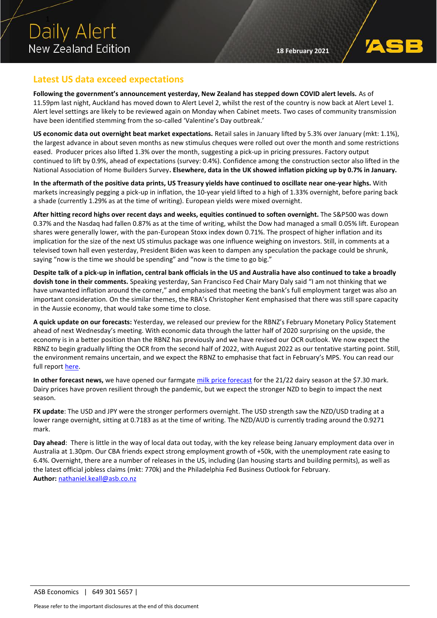

## **Latest US data exceed expectations**

**Following the government's announcement yesterday, New Zealand has stepped down COVID alert levels.** As of 11.59pm last night, Auckland has moved down to Alert Level 2, whilst the rest of the country is now back at Alert Level 1. Alert level settings are likely to be reviewed again on Monday when Cabinet meets. Two cases of community transmission have been identified stemming from the so-called 'Valentine's Day outbreak.'

**US economic data out overnight beat market expectations.** Retail sales in January lifted by 5.3% over January (mkt: 1.1%), the largest advance in about seven months as new stimulus cheques were rolled out over the month and some restrictions eased. Producer prices also lifted 1.3% over the month, suggesting a pick-up in pricing pressures. Factory output continued to lift by 0.9%, ahead of expectations (survey: 0.4%). Confidence among the construction sector also lifted in the National Association of Home Builders Survey**. Elsewhere, data in the UK showed inflation picking up by 0.7% in January.**

**In the aftermath of the positive data prints, US Treasury yields have continued to oscillate near one-year highs.** With markets increasingly pegging a pick-up in inflation, the 10-year yield lifted to a high of 1.33% overnight, before paring back a shade (currently 1.29% as at the time of writing). European yields were mixed overnight.

**After hitting record highs over recent days and weeks, equities continued to soften overnight.** The S&P500 was down 0.37% and the Nasdaq had fallen 0.87% as at the time of writing, whilst the Dow had managed a small 0.05% lift. European shares were generally lower, with the pan-European Stoxx index down 0.71%. The prospect of higher inflation and its implication for the size of the next US stimulus package was one influence weighing on investors. Still, in comments at a televised town hall even yesterday, President Biden was keen to dampen any speculation the package could be shrunk, saying "now is the time we should be spending" and "now is the time to go big."

**Despite talk of a pick-up in inflation, central bank officials in the US and Australia have also continued to take a broadly dovish tone in their comments.** Speaking yesterday, San Francisco Fed Chair Mary Daly said "I am not thinking that we have unwanted inflation around the corner," and emphasised that meeting the bank's full employment target was also an important consideration. On the similar themes, the RBA's Christopher Kent emphasised that there was still spare capacity in the Aussie economy, that would take some time to close.

**A quick update on our forecasts:** Yesterday, we released our preview for the RBNZ's February Monetary Policy Statement ahead of next Wednesday's meeting. With economic data through the latter half of 2020 surprising on the upside, the economy is in a better position than the RBNZ has previously and we have revised our OCR outlook. We now expect the RBNZ to begin gradually lifting the OCR from the second half of 2022, with August 2022 as our tentative starting point. Still, the environment remains uncertain, and we expect the RBNZ to emphasise that fact in February's MPS. You can read our full repor[t here.](https://www.asb.co.nz/content/dam/asb/documents/reports/economic-note/rbnz-preview-feb21-mps.pdf)

In other forecast news, we have opened our farmgat[e milk price forecast](https://www.asb.co.nz/content/dam/asb/documents/reports/commodities-weekly/commodities-weekly-170221.pdf) for the 21/22 dairy season at the \$7.30 mark. Dairy prices have proven resilient through the pandemic, but we expect the stronger NZD to begin to impact the next season.

**FX update**: The USD and JPY were the stronger performers overnight. The USD strength saw the NZD/USD trading at a lower range overnight, sitting at 0.7183 as at the time of writing. The NZD/AUD is currently trading around the 0.9271 mark.

**Day ahead**: There is little in the way of local data out today, with the key release being January employment data over in Australia at 1.30pm. Our CBA friends expect strong employment growth of +50k, with the unemployment rate easing to 6.4%. Overnight, there are a number of releases in the US, including (Jan housing starts and building permits), as well as the latest official jobless claims (mkt: 770k) and the Philadelphia Fed Business Outlook for February. **Author:** [nathaniel.keall@asb.co.nz](mailto:nathaniel.keall@asb.co.nz)